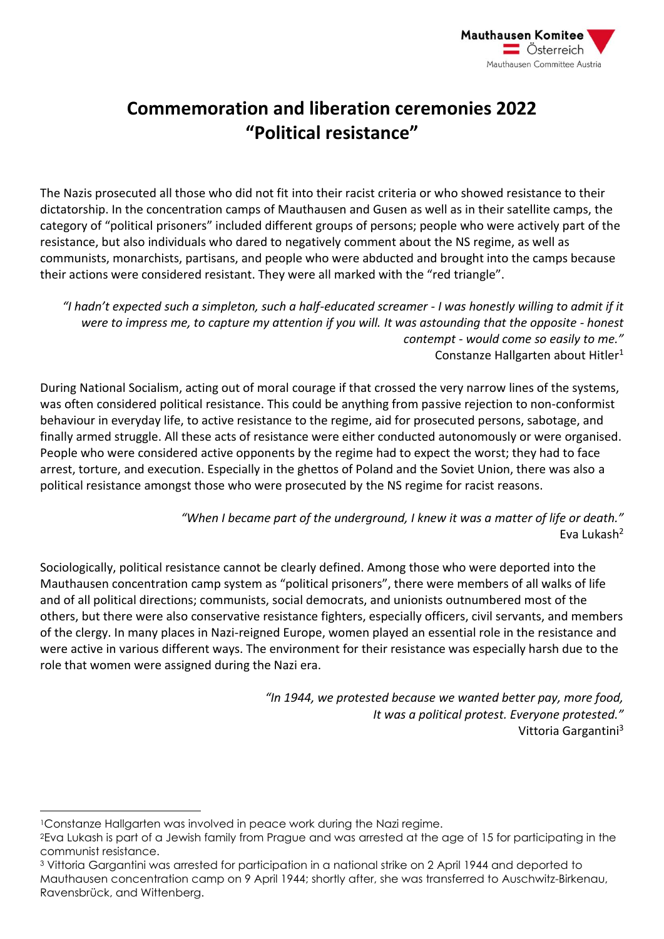

## **Commemoration and liberation ceremonies 2022 "Political resistance"**

The Nazis prosecuted all those who did not fit into their racist criteria or who showed resistance to their dictatorship. In the concentration camps of Mauthausen and Gusen as well as in their satellite camps, the category of "political prisoners" included different groups of persons; people who were actively part of the resistance, but also individuals who dared to negatively comment about the NS regime, as well as communists, monarchists, partisans, and people who were abducted and brought into the camps because their actions were considered resistant. They were all marked with the "red triangle".

*"I hadn't expected such a simpleton, such a half-educated screamer - I was honestly willing to admit if it were to impress me, to capture my attention if you will. It was astounding that the opposite - honest contempt - would come so easily to me."* Constanze Hallgarten about Hitler<sup>1</sup>

During National Socialism, acting out of moral courage if that crossed the very narrow lines of the systems, was often considered political resistance. This could be anything from passive rejection to non-conformist behaviour in everyday life, to active resistance to the regime, aid for prosecuted persons, sabotage, and finally armed struggle. All these acts of resistance were either conducted autonomously or were organised. People who were considered active opponents by the regime had to expect the worst; they had to face arrest, torture, and execution. Especially in the ghettos of Poland and the Soviet Union, there was also a political resistance amongst those who were prosecuted by the NS regime for racist reasons.

> *"When I became part of the underground, I knew it was a matter of life or death."* Eva Lukash<sup>2</sup>

Sociologically, political resistance cannot be clearly defined. Among those who were deported into the Mauthausen concentration camp system as "political prisoners", there were members of all walks of life and of all political directions; communists, social democrats, and unionists outnumbered most of the others, but there were also conservative resistance fighters, especially officers, civil servants, and members of the clergy. In many places in Nazi-reigned Europe, women played an essential role in the resistance and were active in various different ways. The environment for their resistance was especially harsh due to the role that women were assigned during the Nazi era.

> *"In 1944, we protested because we wanted better pay, more food, It was a political protest. Everyone protested."* Vittoria Gargantini<sup>3</sup>

<sup>1</sup>Constanze Hallgarten was involved in peace work during the Nazi regime.

<sup>2</sup>Eva Lukash is part of a Jewish family from Prague and was arrested at the age of 15 for participating in the communist resistance.

<sup>3</sup> Vittoria Gargantini was arrested for participation in a national strike on 2 April 1944 and deported to Mauthausen concentration camp on 9 April 1944; shortly after, she was transferred to Auschwitz-Birkenau, Ravensbrück, and Wittenberg.